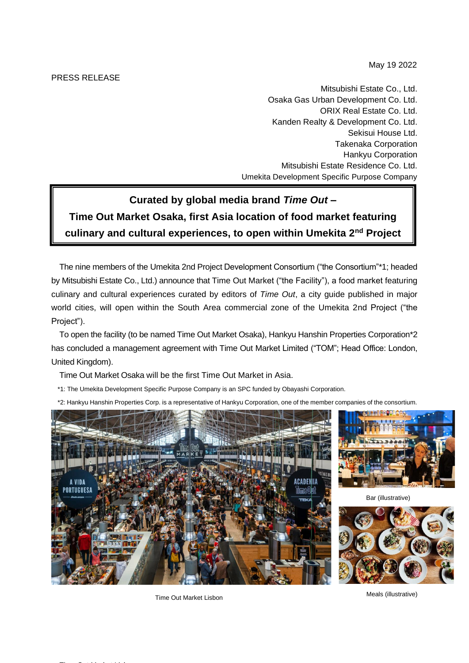PRESS RELEASE

May 19 2022

Mitsubishi Estate Co., Ltd. Osaka Gas Urban Development Co. Ltd. ORIX Real Estate Co. Ltd. Kanden Realty & Development Co. Ltd. Sekisui House Ltd. Takenaka Corporation Hankyu Corporation Mitsubishi Estate Residence Co. Ltd. Umekita Development Specific Purpose Company

## **Curated by global media brand** *Time Out* **– Time Out Market Osaka, first Asia location of food market featuring culinary and cultural experiences, to open within Umekita 2nd Project**

The nine members of the Umekita 2nd Project Development Consortium ("the Consortium"\*1; headed by Mitsubishi Estate Co., Ltd.) announce that Time Out Market ("the Facility"), a food market featuring culinary and cultural experiences curated by editors of *Time Out*, a city guide published in major world cities, will open within the South Area commercial zone of the Umekita 2nd Project ("the Project").

To open the facility (to be named Time Out Market Osaka), Hankyu Hanshin Properties Corporation\*2 has concluded a management agreement with Time Out Market Limited ("TOM"; Head Office: London, United Kingdom).

Time Out Market Osaka will be the first Time Out Market in Asia.

\*1: The Umekita Development Specific Purpose Company is an SPC funded by Obayashi Corporation.

\*2: Hankyu Hanshin Properties Corp. is a representative of Hankyu Corporation, one of the member companies of the consortium.





Bar (illustrative)



Time Out Market Lisbon Meals (illustrative)

Time Out Market Lisbon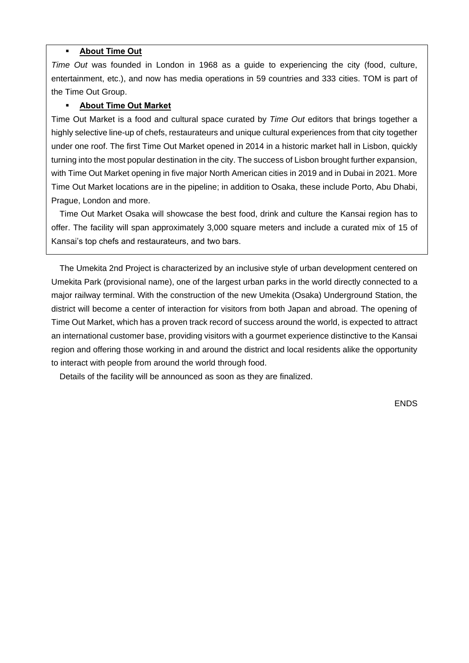## **About Time Out**

*Time Out* was founded in London in 1968 as a guide to experiencing the city (food, culture, entertainment, etc.), and now has media operations in 59 countries and 333 cities. TOM is part of the Time Out Group.

## ▪ **About Time Out Market**

Time Out Market is a food and cultural space curated by *Time Out* editors that brings together a highly selective line-up of chefs, restaurateurs and unique cultural experiences from that city together under one roof. The first Time Out Market opened in 2014 in a historic market hall in Lisbon, quickly turning into the most popular destination in the city. The success of Lisbon brought further expansion, with Time Out Market opening in five major North American cities in 2019 and in Dubai in 2021. More Time Out Market locations are in the pipeline; in addition to Osaka, these include Porto, Abu Dhabi, Prague, London and more.

Time Out Market Osaka will showcase the best food, drink and culture the Kansai region has to offer. The facility will span approximately 3,000 square meters and include a curated mix of 15 of Kansai's top chefs and restaurateurs, and two bars.

The Umekita 2nd Project is characterized by an inclusive style of urban development centered on Umekita Park (provisional name), one of the largest urban parks in the world directly connected to a major railway terminal. With the construction of the new Umekita (Osaka) Underground Station, the district will become a center of interaction for visitors from both Japan and abroad. The opening of Time Out Market, which has a proven track record of success around the world, is expected to attract an international customer base, providing visitors with a gourmet experience distinctive to the Kansai region and offering those working in and around the district and local residents alike the opportunity to interact with people from around the world through food.

Details of the facility will be announced as soon as they are finalized.

ENDS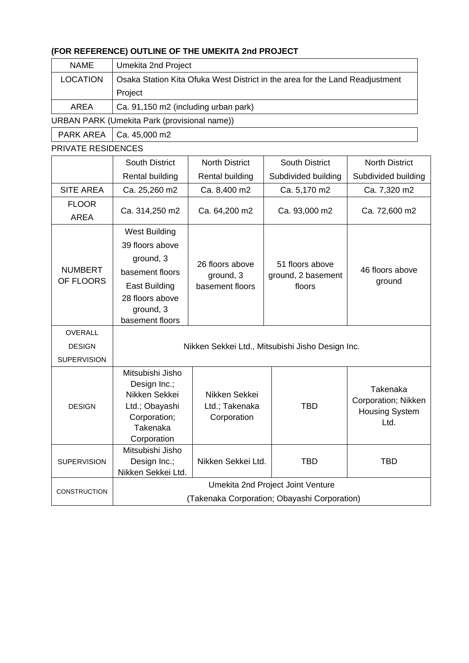## **(FOR REFERENCE) OUTLINE OF THE UMEKITA 2nd PROJECT**

| <b>NAME</b>     | Umekita 2nd Project                                                          |  |  |
|-----------------|------------------------------------------------------------------------------|--|--|
| <b>LOCATION</b> | Osaka Station Kita Ofuka West District in the area for the Land Readjustment |  |  |
|                 | Project                                                                      |  |  |
| AREA            | Ca. 91,150 m2 (including urban park)                                         |  |  |

URBAN PARK (Umekita Park (provisional name))

 $PARK AREA$   $Ca. 45,000 m2$ 

PRIVATE RESIDENCES

|                             | <b>South District</b>                                                                                          | <b>North District</b>                           | <b>South District</b>                           | <b>North District</b>                                            |  |  |
|-----------------------------|----------------------------------------------------------------------------------------------------------------|-------------------------------------------------|-------------------------------------------------|------------------------------------------------------------------|--|--|
|                             | Rental building                                                                                                | Rental building                                 | Subdivided building                             | Subdivided building                                              |  |  |
| <b>SITE AREA</b>            | Ca. 25,260 m2                                                                                                  | Ca. 8,400 m2                                    | Ca. 5,170 m2                                    | Ca. 7,320 m2                                                     |  |  |
| <b>FLOOR</b><br><b>AREA</b> | Ca. 314,250 m2                                                                                                 | Ca. 64,200 m2                                   | Ca. 93,000 m2                                   | Ca. 72,600 m2                                                    |  |  |
| <b>NUMBERT</b><br>OF FLOORS | <b>West Building</b>                                                                                           | 26 floors above<br>ground, 3<br>basement floors | 51 floors above<br>ground, 2 basement<br>floors | 46 floors above<br>ground                                        |  |  |
|                             | 39 floors above                                                                                                |                                                 |                                                 |                                                                  |  |  |
|                             | ground, 3<br>basement floors<br>East Building<br>28 floors above                                               |                                                 |                                                 |                                                                  |  |  |
|                             | ground, 3<br>basement floors                                                                                   |                                                 |                                                 |                                                                  |  |  |
| <b>OVERALL</b>              |                                                                                                                |                                                 |                                                 |                                                                  |  |  |
| <b>DESIGN</b>               | Nikken Sekkei Ltd., Mitsubishi Jisho Design Inc.                                                               |                                                 |                                                 |                                                                  |  |  |
| <b>SUPERVISION</b>          |                                                                                                                |                                                 |                                                 |                                                                  |  |  |
| <b>DESIGN</b>               | Mitsubishi Jisho<br>Design Inc.;<br>Nikken Sekkei<br>Ltd.; Obayashi<br>Corporation;<br>Takenaka<br>Corporation | Nikken Sekkei<br>Ltd.; Takenaka<br>Corporation  | <b>TBD</b>                                      | Takenaka<br>Corporation; Nikken<br><b>Housing System</b><br>Ltd. |  |  |
| <b>SUPERVISION</b>          | Mitsubishi Jisho<br>Design Inc.;<br>Nikken Sekkei Ltd.                                                         | Nikken Sekkei Ltd.                              | <b>TBD</b>                                      | <b>TBD</b>                                                       |  |  |
| CONSTRUCTION                | Umekita 2nd Project Joint Venture<br>(Takenaka Corporation; Obayashi Corporation)                              |                                                 |                                                 |                                                                  |  |  |